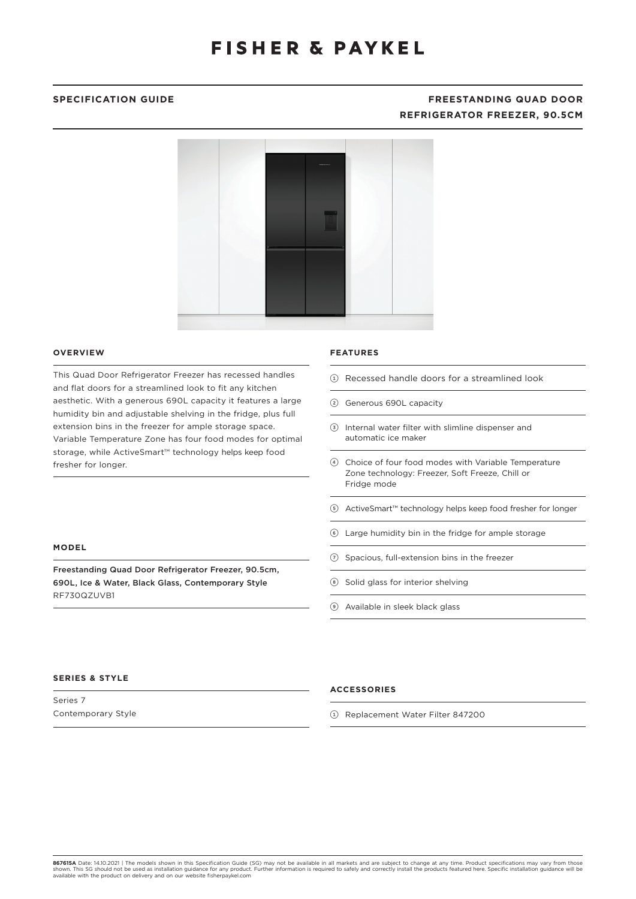# **SPECIFICATION GUIDE FREESTANDING QUAD DOOR REFRIGERATOR FREEZER, 90.5CM**



## **OVERVIEW**

This Quad Door Refrigerator Freezer has recessed handles and flat doors for a streamlined look to fit any kitchen aesthetic. With a generous 690L capacity it features a large humidity bin and adjustable shelving in the fridge, plus full extension bins in the freezer for ample storage space. Variable Temperature Zone has four food modes for optimal storage, while ActiveSmart™ technology helps keep food fresher for longer.

Freestanding Quad Door Refrigerator Freezer, 90.5cm, 690L, Ice & Water, Black Glass, Contemporary Style

# **FEATURES**

- 1 Recessed handle doors for a streamlined look
- 2 Generous 690L capacity
- 3 Internal water filter with slimline dispenser and automatic ice maker
- 4 Choice of four food modes with Variable Temperature Zone technology: Freezer, Soft Freeze, Chill or Fridge mode
- 5 ActiveSmart™ technology helps keep food fresher for longer
- 6 Large humidity bin in the fridge for ample storage
- $(7)$  Spacious, full-extension bins in the freezer
- 8 Solid glass for interior shelving
- 9 Available in sleek black glass

## **SERIES & STYLE**

RF730QZUVB1

**MODEL**

Series 7 Contemporary Style

## **ACCESSORIES**

1 Replacement Water Filter 847200

**867615A** Date: 14.10.2021 | The models shown in this Specification Guide (SG) may not be available in all markets and are subject to change at any time. Product specifications may vary from those<br>shown. This SG should not